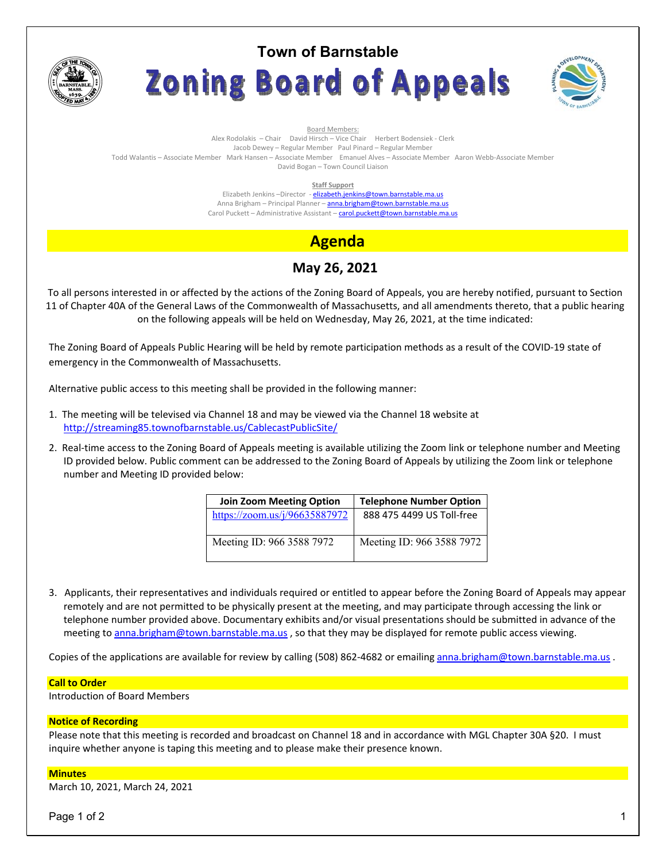

# **Town of Barnstable** Zoning Board of Appeals



Board Members: Alex Rodolakis – Chair David Hirsch – Vice Chair Herbert Bodensiek - Clerk Jacob Dewey – Regular Member Paul Pinard – Regular Member Todd Walantis – Associate Member Mark Hansen – Associate Member Emanuel Alves – Associate Member Aaron Webb-Associate Member David Bogan – Town Council Liaison

**Staff Support** 

Elizabeth Jenkins -Director - elizabeth.jenkins@town.barnstable.ma.us Anna Brigham - Principal Planner - anna.brigham@town.barnstable.ma.us Carol Puckett – Administrative Assistant – carol.puckett@town.barnstable.ma.us

# **Agenda**

## **May 26, 2021**

To all persons interested in or affected by the actions of the Zoning Board of Appeals, you are hereby notified, pursuant to Section 11 of Chapter 40A of the General Laws of the Commonwealth of Massachusetts, and all amendments thereto, that a public hearing on the following appeals will be held on Wednesday, May 26, 2021, at the time indicated:

The Zoning Board of Appeals Public Hearing will be held by remote participation methods as a result of the COVID-19 state of emergency in the Commonwealth of Massachusetts.

Alternative public access to this meeting shall be provided in the following manner:

- 1. The meeting will be televised via Channel 18 and may be viewed via the Channel 18 website at http://streaming85.townofbarnstable.us/CablecastPublicSite/
- 2. Real-time access to the Zoning Board of Appeals meeting is available utilizing the Zoom link or telephone number and Meeting ID provided below. Public comment can be addressed to the Zoning Board of Appeals by utilizing the Zoom link or telephone number and Meeting ID provided below:

| <b>Join Zoom Meeting Option</b> | <b>Telephone Number Option</b> |
|---------------------------------|--------------------------------|
| https://zoom.us/j/96635887972   | 888 475 4499 US Toll-free      |
| Meeting ID: 966 3588 7972       | Meeting ID: 966 3588 7972      |

3. Applicants, their representatives and individuals required or entitled to appear before the Zoning Board of Appeals may appear remotely and are not permitted to be physically present at the meeting, and may participate through accessing the link or telephone number provided above. Documentary exhibits and/or visual presentations should be submitted in advance of the meeting to anna.brigham@town.barnstable.ma.us, so that they may be displayed for remote public access viewing.

Copies of the applications are available for review by calling (508) 862-4682 or emailing anna.brigham@town.barnstable.ma.us .

#### **Call to Order**

Introduction of Board Members

#### **Notice of Recording**

Please note that this meeting is recorded and broadcast on Channel 18 and in accordance with MGL Chapter 30A §20. I must inquire whether anyone is taping this meeting and to please make their presence known.

#### **Minutes**

March 10, 2021, March 24, 2021

Page 1 of 2  $\hphantom{\ddots}$